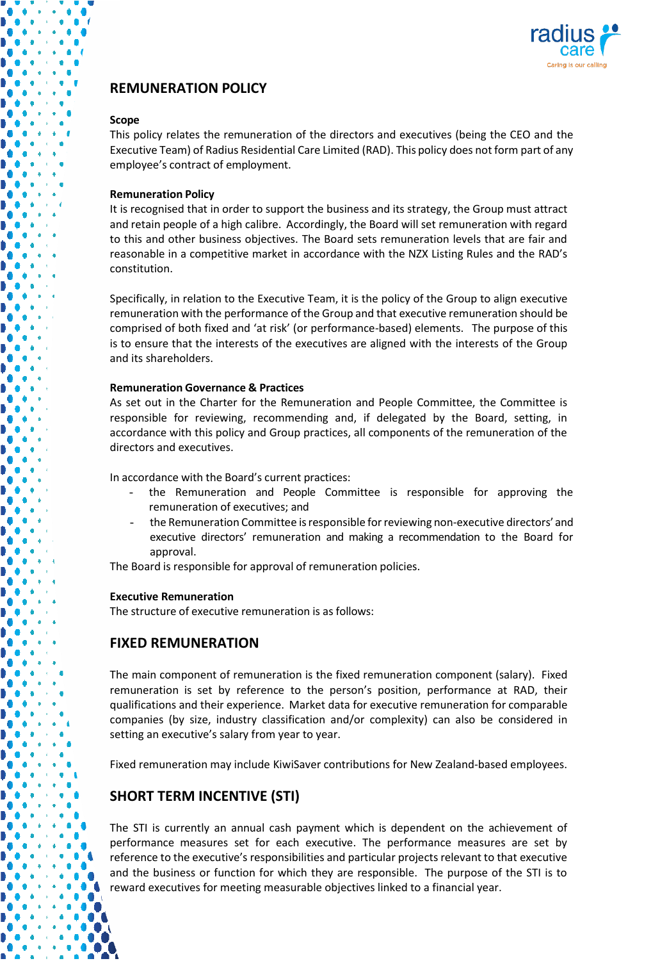

# **REMUNERATION POLICY**

### **Scope**

This policy relates the remuneration of the directors and executives (being the CEO and the Executive Team) of Radius Residential Care Limited (RAD). This policy does not form part of any employee's contract of employment.

### **Remuneration Policy**

It is recognised that in order to support the business and its strategy, the Group must attract and retain people of a high calibre. Accordingly, the Board will set remuneration with regard to this and other business objectives. The Board sets remuneration levels that are fair and reasonable in a competitive market in accordance with the NZX Listing Rules and the RAD's constitution.

Specifically, in relation to the Executive Team, it is the policy of the Group to align executive remuneration with the performance of the Group and that executive remuneration should be comprised of both fixed and 'at risk' (or performance-based) elements. The purpose of this is to ensure that the interests of the executives are aligned with the interests of the Group and its shareholders.

### **Remuneration Governance & Practices**

As set out in the Charter for the Remuneration and People Committee, the Committee is responsible for reviewing, recommending and, if delegated by the Board, setting, in accordance with this policy and Group practices, all components of the remuneration of the directors and executives.

In accordance with the Board's current practices:

- the Remuneration and People Committee is responsible for approving the remuneration of executives; and
- the Remuneration Committee is responsible for reviewing non-executive directors' and executive directors' remuneration and making a recommendation to the Board for approval.

The Board is responsible for approval of remuneration policies.

### **Executive Remuneration**

The structure of executive remuneration is as follows:

### **FIXED REMUNERATION**

The main component of remuneration is the fixed remuneration component (salary). Fixed remuneration is set by reference to the person's position, performance at RAD, their qualifications and their experience. Market data for executive remuneration for comparable companies (by size, industry classification and/or complexity) can also be considered in setting an executive's salary from year to year.

Fixed remuneration may include KiwiSaver contributions for New Zealand-based employees.

## **SHORT TERM INCENTIVE (STI)**

The STI is currently an annual cash payment which is dependent on the achievement of performance measures set for each executive. The performance measures are set by reference to the executive's responsibilities and particular projects relevant to that executive and the business or function for which they are responsible. The purpose of the STI is to reward executives for meeting measurable objectives linked to a financial year.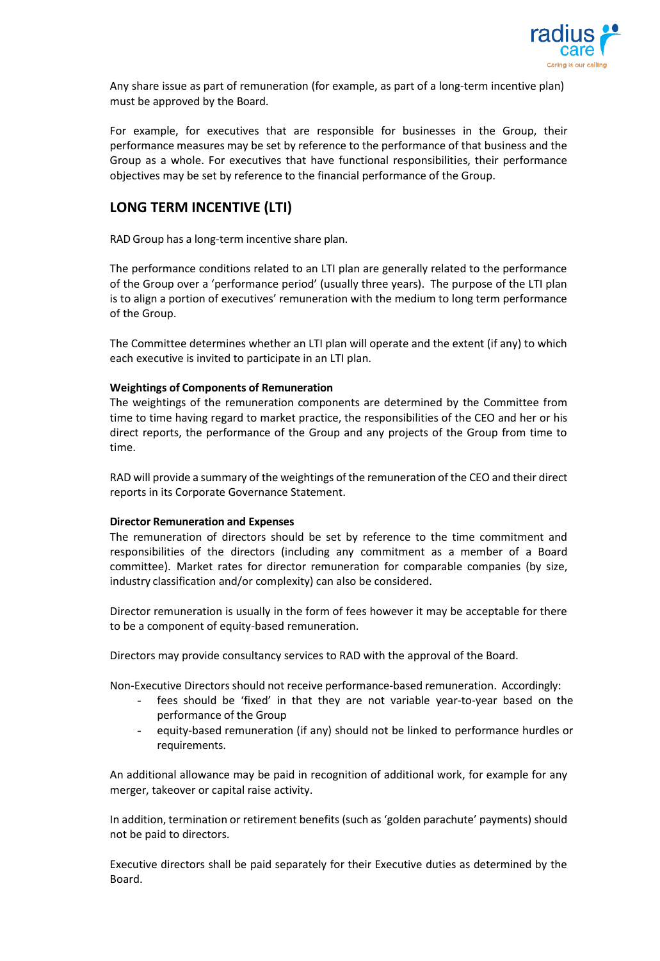

Any share issue as part of remuneration (for example, as part of a long-term incentive plan) must be approved by the Board.

For example, for executives that are responsible for businesses in the Group, their performance measures may be set by reference to the performance of that business and the Group as a whole. For executives that have functional responsibilities, their performance objectives may be set by reference to the financial performance of the Group.

# **LONG TERM INCENTIVE (LTI)**

RAD Group has a long-term incentive share plan.

The performance conditions related to an LTI plan are generally related to the performance of the Group over a 'performance period' (usually three years). The purpose of the LTI plan is to align a portion of executives' remuneration with the medium to long term performance of the Group.

The Committee determines whether an LTI plan will operate and the extent (if any) to which each executive is invited to participate in an LTI plan.

### **Weightings of Components of Remuneration**

The weightings of the remuneration components are determined by the Committee from time to time having regard to market practice, the responsibilities of the CEO and her or his direct reports, the performance of the Group and any projects of the Group from time to time.

RAD will provide a summary of the weightings of the remuneration of the CEO and their direct reports in its Corporate Governance Statement.

### **Director Remuneration and Expenses**

The remuneration of directors should be set by reference to the time commitment and responsibilities of the directors (including any commitment as a member of a Board committee). Market rates for director remuneration for comparable companies (by size, industry classification and/or complexity) can also be considered.

Director remuneration is usually in the form of fees however it may be acceptable for there to be a component of equity-based remuneration.

Directors may provide consultancy services to RAD with the approval of the Board.

Non-Executive Directors should not receive performance-based remuneration. Accordingly:

- fees should be 'fixed' in that they are not variable year-to-year based on the performance of the Group
- equity-based remuneration (if any) should not be linked to performance hurdles or requirements.

An additional allowance may be paid in recognition of additional work, for example for any merger, takeover or capital raise activity.

In addition, termination or retirement benefits (such as 'golden parachute' payments) should not be paid to directors.

Executive directors shall be paid separately for their Executive duties as determined by the Board.